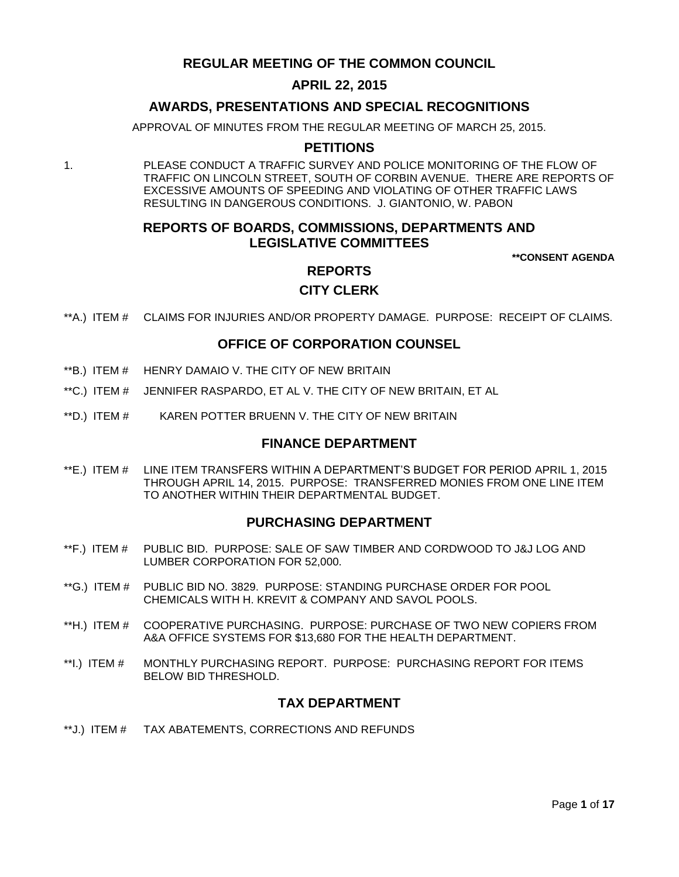# **REGULAR MEETING OF THE COMMON COUNCIL**

# **APRIL 22, 2015**

# **AWARDS, PRESENTATIONS AND SPECIAL RECOGNITIONS**

APPROVAL OF MINUTES FROM THE REGULAR MEETING OF MARCH 25, 2015.

# **PETITIONS**

1. PLEASE CONDUCT A TRAFFIC SURVEY AND POLICE MONITORING OF THE FLOW OF TRAFFIC ON LINCOLN STREET, SOUTH OF CORBIN AVENUE. THERE ARE REPORTS OF EXCESSIVE AMOUNTS OF SPEEDING AND VIOLATING OF OTHER TRAFFIC LAWS RESULTING IN DANGEROUS CONDITIONS. J. GIANTONIO, W. PABON

# **REPORTS OF BOARDS, COMMISSIONS, DEPARTMENTS AND LEGISLATIVE COMMITTEES**

**\*\*CONSENT AGENDA**

# **REPORTS CITY CLERK**

\*\*A.) ITEM # [CLAIMS FOR INJURIES AND/OR PROPERTY DAMAGE. PURPOSE: RECEIPT OF CLAIMS.](#page-3-0)

## **OFFICE OF CORPORATION COUNSEL**

- \*\*B.) ITEM # [HENRY DAMAIO V. THE CITY OF NEW BRITAIN](#page-3-1)
- \*\*C.) ITEM # [JENNIFER RASPARDO, ET AL V. THE CITY OF NEW BRITAIN, ET AL](#page-4-0)
- \*\*D.) ITEM # [KAREN POTTER BRUENN V. THE CITY OF NEW BRITAIN](#page-4-1)

## **FINANCE DEPARTMENT**

\*\*E.) ITEM # [LINE ITEM TRANSFERS WITHIN A DEPARTMENT'S BUDGET FOR PERIOD APRIL 1, 2015](#page-5-0)  [THROUGH APRIL 14, 2015. PURPOSE: TRANSFERRED MONIES FROM ONE LINE ITEM](#page-5-0)  [TO ANOTHER WITHIN THEIR DEPARTMENTAL BUDGET.](#page-5-0)

## **PURCHASING DEPARTMENT**

- \*\*F.) ITEM # [PUBLIC BID. PURPOSE: SALE OF SAW TIMBER AND CORDWOOD TO J&J LOG AND](#page-6-0)  [LUMBER CORPORATION FOR 52,000.](#page-6-0)
- \*\*G.) ITEM # PUBLIC BID [NO. 3829. PURPOSE: STANDING PURCHASE ORDER FOR POOL](#page-6-1)  [CHEMICALS WITH H. KREVIT & COMPANY AND SAVOL POOLS.](#page-6-1)
- \*\*H.) ITEM # [COOPERATIVE PURCHASING. PURPOSE: PURCHASE OF TWO NEW COPIERS FROM](#page-7-0)  [A&A OFFICE SYSTEMS FOR \\$13,680 FOR THE HEALTH DEPARTMENT.](#page-7-0)
- \*\*I.) ITEM # [MONTHLY PURCHASING REPORT. PURPOSE: PURCHASING REPORT FOR ITEMS](#page-7-1)  [BELOW BID THRESHOLD.](#page-7-1)

## **TAX DEPARTMENT**

\*\*J.) ITEM # [TAX ABATEMENTS, CORRECTIONS AND REFUNDS](#page-8-0)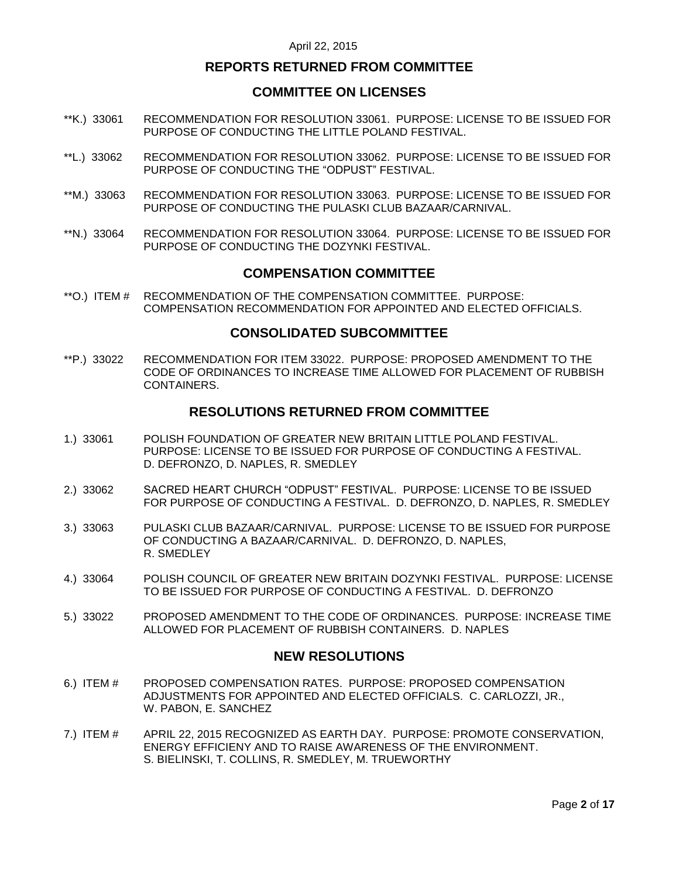## **REPORTS RETURNED FROM COMMITTEE**

## **COMMITTEE ON LICENSES**

- \*\*K.) 33061 [RECOMMENDATION FOR RESOLUTION 33061. PURPOSE: LICENSE TO BE ISSUED FOR](#page-8-1)  [PURPOSE OF CONDUCTING THE LITTLE POLAND FESTIVAL.](#page-8-1)
- \*\*L.) 33062 [RECOMMENDATION FOR RESOLUTION 33062. PURPOSE: LICENSE TO BE ISSUED FOR](#page-8-2)  [PURPOSE OF CONDUCTING THE "ODPUST"](#page-8-2) FESTIVAL.
- \*\*M.) 33063 [RECOMMENDATION FOR RESOLUTION 33063. PURPOSE: LICENSE TO BE ISSUED FOR](#page-9-0)  [PURPOSE OF CONDUCTING THE PULASKI CLUB BAZAAR/CARNIVAL.](#page-9-0)
- \*\*N.) 33064 [RECOMMENDATION FOR RESOLUTION 33064. PURPOSE: LICENSE TO BE ISSUED FOR](#page-9-1)  [PURPOSE OF CONDUCTING THE DOZYNKI](#page-9-1) FESTIVAL.

## **COMPENSATION COMMITTEE**

\*\*O.) ITEM # [RECOMMENDATION OF THE COMPENSATION COMMITTEE. PURPOSE:](#page-10-0)  [COMPENSATION RECOMMENDATION FOR APPOINTED AND ELECTED OFFICIALS.](#page-10-0)

### **CONSOLIDATED SUBCOMMITTEE**

\*\*P.) 33022 [RECOMMENDATION FOR ITEM 33022. PURPOSE: PROPOSED AMENDMENT TO THE](#page-10-1)  [CODE OF ORDINANCES TO INCREASE TIME ALLOWED FOR PLACEMENT OF RUBBISH](#page-10-1)  [CONTAINERS.](#page-10-1)

## **RESOLUTIONS RETURNED FROM COMMITTEE**

- 1.) 33061 [POLISH FOUNDATION OF GREATER NEW BRITAIN LITTLE POLAND FESTIVAL.](#page-11-0)  [PURPOSE: LICENSE TO BE ISSUED FOR PURPOSE OF CONDUCTING A FESTIVAL.](#page-11-0)  [D. DEFRONZO, D. NAPLES, R. SMEDLEY](#page-11-0)
- 2.) 33062 [SACRED HEART CHURCH "ODPUST" FESTIVAL. PURPOSE: LICENSE TO BE ISSUED](#page-11-1)  [FOR PURPOSE OF CONDUCTING A FESTIVAL. D. DEFRONZO, D. NAPLES,](#page-11-1) R. SMEDLEY
- 3.) 33063 [PULASKI CLUB BAZAAR/CARNIVAL. PURPOSE: LICENSE TO BE ISSUED FOR PURPOSE](#page-11-2)  [OF CONDUCTING A BAZAAR/CARNIVAL. D. DEFRONZO, D. NAPLES,](#page-11-2)  [R. SMEDLEY](#page-11-2)
- 4.) 33064 [POLISH COUNCIL OF GREATER NEW BRITAIN DOZYNKI FESTIVAL. PURPOSE: LICENSE](#page-12-0)  [TO BE ISSUED FOR PURPOSE OF CONDUCTING A FESTIVAL. D. DEFRONZO](#page-12-0)
- 5.) 33022 [PROPOSED AMENDMENT TO THE CODE OF ORDINANCES. PURPOSE: INCREASE TIME](#page-12-1)  ALLOWED FOR PLACEMENT [OF RUBBISH CONTAINERS. D. NAPLES](#page-12-1)

## **NEW RESOLUTIONS**

- 6.) ITEM # [PROPOSED COMPENSATION RATES. PURPOSE: PROPOSED COMPENSATION](#page-12-2)  [ADJUSTMENTS FOR APPOINTED AND ELECTED OFFICIALS. C. CARLOZZI, JR.,](#page-12-2)  W. PABON, [E. SANCHEZ](#page-12-2)
- 7.) ITEM # [APRIL 22, 2015 RECOGNIZED AS EARTH DAY. PURPOSE: PROMOTE CONSERVATION,](#page-13-0)  [ENERGY EFFICIENY AND TO RAISE AWARENESS OF THE ENVIRONMENT.](#page-13-0)  S. BIELINSKI, T. [COLLINS, R. SMEDLEY, M. TRUEWORTHY](#page-13-0)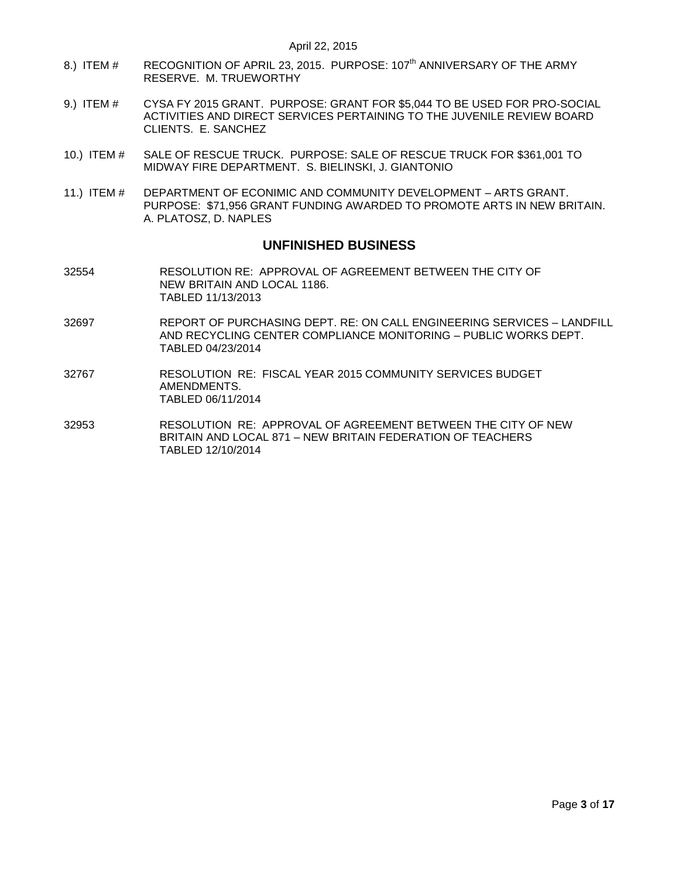- 8.) ITEM # [RECOGNITION OF APRIL 23, 2015. PURPOSE: 107](#page-14-0)<sup>th</sup> ANNIVERSARY OF THE ARMY [RESERVE. M. TRUEWORTHY](#page-14-0)
- 9.) ITEM # [CYSA FY 2015 GRANT. PURPOSE: GRANT FOR \\$5,044 TO BE USED FOR PRO-SOCIAL](#page-14-1)  [ACTIVITIES AND DIRECT SERVICES PERTAINING TO THE JUVENILE REVIEW BOARD](#page-14-1)  [CLIENTS. E. SANCHEZ](#page-14-1)
- 10.) ITEM # [SALE OF RESCUE TRUCK. PURPOSE: SALE OF RESCUE TRUCK FOR \\$361,001 TO](#page-15-0)  [MIDWAY FIRE DEPARTMENT. S. BIELINSKI, J. GIANTONIO](#page-15-0)
- 11.) ITEM # [DEPARTMENT OF ECONIMIC AND COMMUNITY DEVELOPMENT –](#page-16-0) ARTS GRANT. [PURPOSE: \\$71,956 GRANT FUNDING AWARDED TO PROMOTE ARTS IN NEW BRITAIN.](#page-16-0)  [A. PLATOSZ, D. NAPLES](#page-16-0)

## **UNFINISHED BUSINESS**

- 32554 RESOLUTION RE: APPROVAL OF AGREEMENT BETWEEN THE CITY OF NEW BRITAIN AND LOCAL 1186. TABLED 11/13/2013
- 32697 REPORT OF PURCHASING DEPT. RE: ON CALL ENGINEERING SERVICES LANDFILL AND RECYCLING CENTER COMPLIANCE MONITORING – PUBLIC WORKS DEPT. TABLED 04/23/2014
- 32767 RESOLUTION RE: FISCAL YEAR 2015 COMMUNITY SERVICES BUDGET AMENDMENTS. TABLED 06/11/2014
- 32953 RESOLUTION RE: APPROVAL OF AGREEMENT BETWEEN THE CITY OF NEW BRITAIN AND LOCAL 871 – NEW BRITAIN FEDERATION OF TEACHERS TABLED 12/10/2014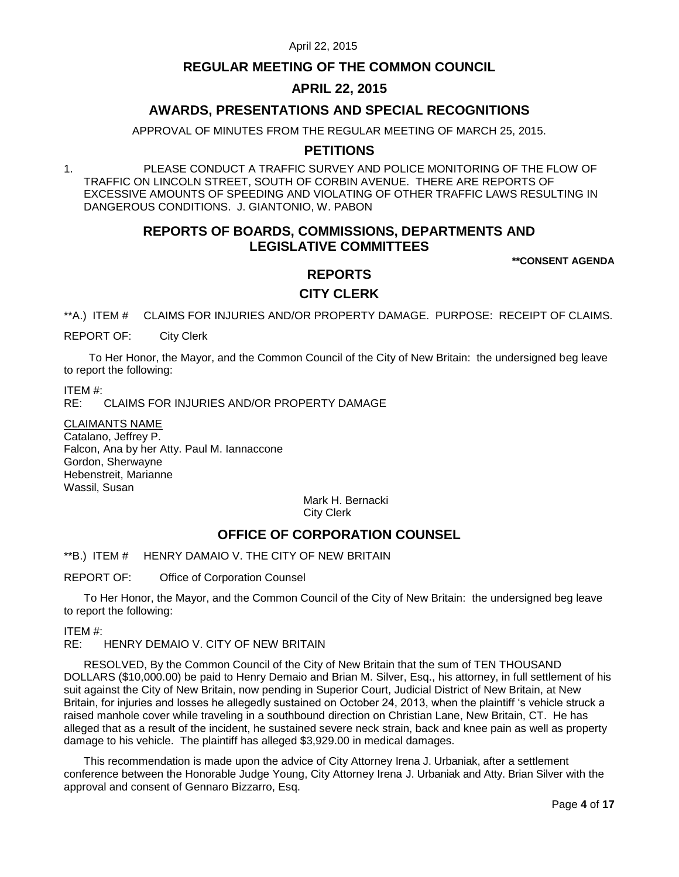## **REGULAR MEETING OF THE COMMON COUNCIL**

# **APRIL 22, 2015**

# **AWARDS, PRESENTATIONS AND SPECIAL RECOGNITIONS**

APPROVAL OF MINUTES FROM THE REGULAR MEETING OF MARCH 25, 2015.

# **PETITIONS**

1. PLEASE CONDUCT A TRAFFIC SURVEY AND POLICE MONITORING OF THE FLOW OF TRAFFIC ON LINCOLN STREET, SOUTH OF CORBIN AVENUE. THERE ARE REPORTS OF EXCESSIVE AMOUNTS OF SPEEDING AND VIOLATING OF OTHER TRAFFIC LAWS RESULTING IN DANGEROUS CONDITIONS. J. GIANTONIO, W. PABON

# **REPORTS OF BOARDS, COMMISSIONS, DEPARTMENTS AND LEGISLATIVE COMMITTEES**

**\*\*CONSENT AGENDA**

# **REPORTS CITY CLERK**

<span id="page-3-0"></span>\*\*A.) ITEM # CLAIMS FOR INJURIES AND/OR PROPERTY DAMAGE. PURPOSE: RECEIPT OF CLAIMS.

REPORT OF: City Clerk

To Her Honor, the Mayor, and the Common Council of the City of New Britain: the undersigned beg leave to report the following:

ITEM #:

RE: CLAIMS FOR INJURIES AND/OR PROPERTY DAMAGE

CLAIMANTS NAME Catalano, Jeffrey P. Falcon, Ana by her Atty. Paul M. Iannaccone Gordon, Sherwayne Hebenstreit, Marianne Wassil, Susan

> Mark H. Bernacki City Clerk

# **OFFICE OF CORPORATION COUNSEL**

<span id="page-3-1"></span>\*\*B.) ITEM # HENRY DAMAIO V. THE CITY OF NEW BRITAIN

REPORT OF: Office of Corporation Counsel

To Her Honor, the Mayor, and the Common Council of the City of New Britain: the undersigned beg leave to report the following:

ITEM #:

RE: HENRY DEMAIO V. CITY OF NEW BRITAIN

RESOLVED, By the Common Council of the City of New Britain that the sum of TEN THOUSAND DOLLARS (\$10,000.00) be paid to Henry Demaio and Brian M. Silver, Esq., his attorney, in full settlement of his suit against the City of New Britain, now pending in Superior Court, Judicial District of New Britain, at New Britain, for injuries and losses he allegedly sustained on October 24, 2013, when the plaintiff 's vehicle struck a raised manhole cover while traveling in a southbound direction on Christian Lane, New Britain, CT. He has alleged that as a result of the incident, he sustained severe neck strain, back and knee pain as well as property damage to his vehicle. The plaintiff has alleged \$3,929.00 in medical damages.

This recommendation is made upon the advice of City Attorney Irena J. Urbaniak, after a settlement conference between the Honorable Judge Young, City Attorney Irena J. Urbaniak and Atty. Brian Silver with the approval and consent of Gennaro Bizzarro, Esq.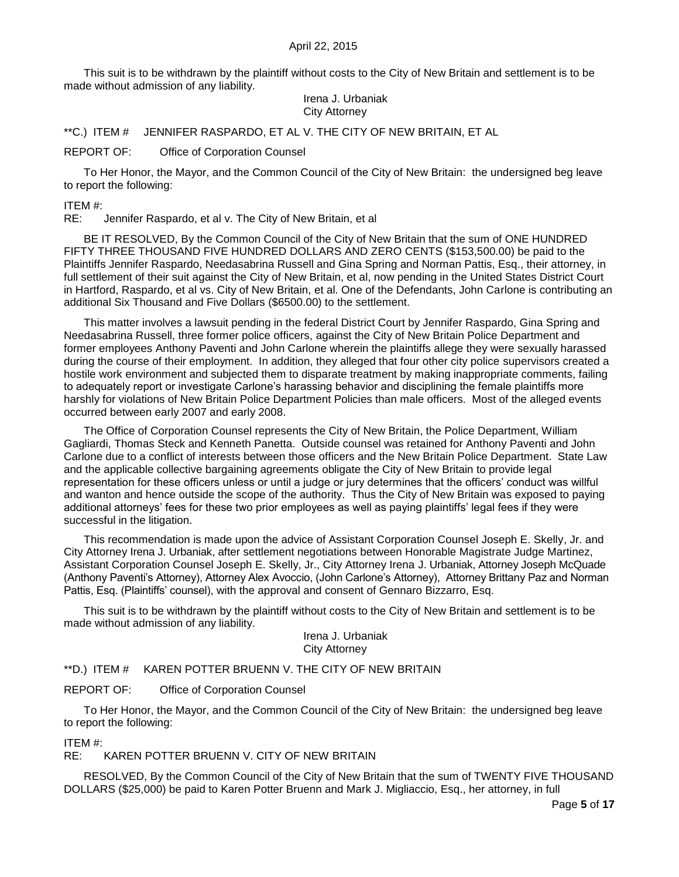This suit is to be withdrawn by the plaintiff without costs to the City of New Britain and settlement is to be made without admission of any liability.

### Irena J. Urbaniak City Attorney

<span id="page-4-0"></span>\*\*C.) ITEM # JENNIFER RASPARDO, ET AL V. THE CITY OF NEW BRITAIN, ET AL

### REPORT OF: Office of Corporation Counsel

To Her Honor, the Mayor, and the Common Council of the City of New Britain: the undersigned beg leave to report the following:

ITEM #:

RE: Jennifer Raspardo, et al v. The City of New Britain, et al

BE IT RESOLVED, By the Common Council of the City of New Britain that the sum of ONE HUNDRED FIFTY THREE THOUSAND FIVE HUNDRED DOLLARS AND ZERO CENTS (\$153,500.00) be paid to the Plaintiffs Jennifer Raspardo, Needasabrina Russell and Gina Spring and Norman Pattis, Esq., their attorney, in full settlement of their suit against the City of New Britain, et al, now pending in the United States District Court in Hartford, Raspardo, et al vs. City of New Britain, et al. One of the Defendants, John Carlone is contributing an additional Six Thousand and Five Dollars (\$6500.00) to the settlement.

This matter involves a lawsuit pending in the federal District Court by Jennifer Raspardo, Gina Spring and Needasabrina Russell, three former police officers, against the City of New Britain Police Department and former employees Anthony Paventi and John Carlone wherein the plaintiffs allege they were sexually harassed during the course of their employment. In addition, they alleged that four other city police supervisors created a hostile work environment and subjected them to disparate treatment by making inappropriate comments, failing to adequately report or investigate Carlone's harassing behavior and disciplining the female plaintiffs more harshly for violations of New Britain Police Department Policies than male officers. Most of the alleged events occurred between early 2007 and early 2008.

The Office of Corporation Counsel represents the City of New Britain, the Police Department, William Gagliardi, Thomas Steck and Kenneth Panetta. Outside counsel was retained for Anthony Paventi and John Carlone due to a conflict of interests between those officers and the New Britain Police Department. State Law and the applicable collective bargaining agreements obligate the City of New Britain to provide legal representation for these officers unless or until a judge or jury determines that the officers' conduct was willful and wanton and hence outside the scope of the authority. Thus the City of New Britain was exposed to paying additional attorneys' fees for these two prior employees as well as paying plaintiffs' legal fees if they were successful in the litigation.

This recommendation is made upon the advice of Assistant Corporation Counsel Joseph E. Skelly, Jr. and City Attorney Irena J. Urbaniak, after settlement negotiations between Honorable Magistrate Judge Martinez, Assistant Corporation Counsel Joseph E. Skelly, Jr., City Attorney Irena J. Urbaniak, Attorney Joseph McQuade (Anthony Paventi's Attorney), Attorney Alex Avoccio, (John Carlone's Attorney), Attorney Brittany Paz and Norman Pattis, Esq. (Plaintiffs' counsel), with the approval and consent of Gennaro Bizzarro, Esq.

This suit is to be withdrawn by the plaintiff without costs to the City of New Britain and settlement is to be made without admission of any liability.

> Irena J. Urbaniak City Attorney

<span id="page-4-1"></span>\*\*D.) ITEM # KAREN POTTER BRUENN V. THE CITY OF NEW BRITAIN

REPORT OF: Office of Corporation Counsel

To Her Honor, the Mayor, and the Common Council of the City of New Britain: the undersigned beg leave to report the following:

ITEM #:

## RE: KAREN POTTER BRUENN V. CITY OF NEW BRITAIN

RESOLVED, By the Common Council of the City of New Britain that the sum of TWENTY FIVE THOUSAND DOLLARS (\$25,000) be paid to Karen Potter Bruenn and Mark J. Migliaccio, Esq., her attorney, in full

Page **5** of **17**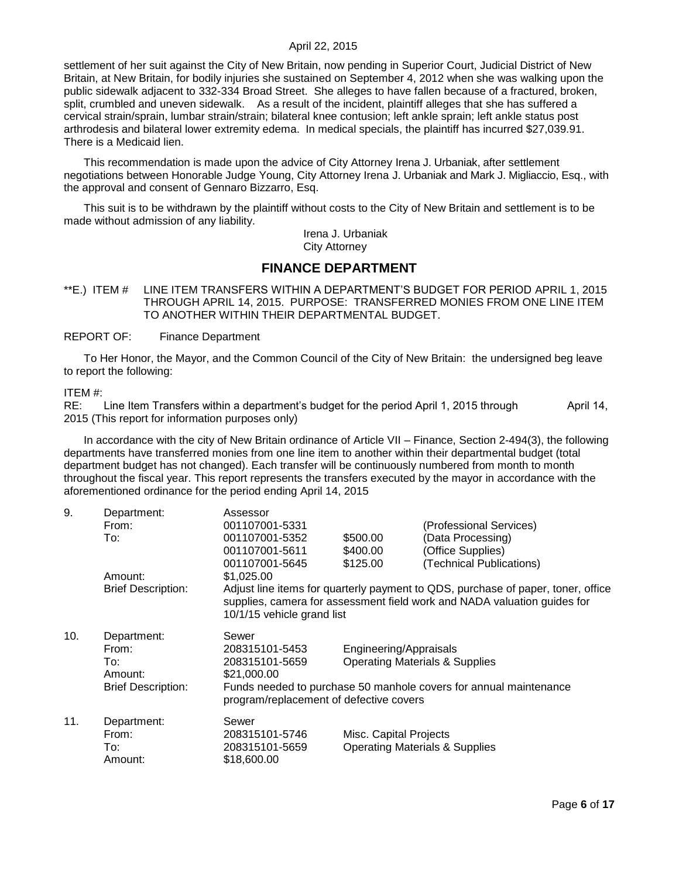settlement of her suit against the City of New Britain, now pending in Superior Court, Judicial District of New Britain, at New Britain, for bodily injuries she sustained on September 4, 2012 when she was walking upon the public sidewalk adjacent to 332-334 Broad Street. She alleges to have fallen because of a fractured, broken, split, crumbled and uneven sidewalk. As a result of the incident, plaintiff alleges that she has suffered a cervical strain/sprain, lumbar strain/strain; bilateral knee contusion; left ankle sprain; left ankle status post arthrodesis and bilateral lower extremity edema. In medical specials, the plaintiff has incurred \$27,039.91. There is a Medicaid lien.

This recommendation is made upon the advice of City Attorney Irena J. Urbaniak, after settlement negotiations between Honorable Judge Young, City Attorney Irena J. Urbaniak and Mark J. Migliaccio, Esq., with the approval and consent of Gennaro Bizzarro, Esq.

This suit is to be withdrawn by the plaintiff without costs to the City of New Britain and settlement is to be made without admission of any liability.

> Irena J. Urbaniak City Attorney

# **FINANCE DEPARTMENT**

<span id="page-5-0"></span>\*\*E.) ITEM # LINE ITEM TRANSFERS WITHIN A DEPARTMENT'S BUDGET FOR PERIOD APRIL 1, 2015 THROUGH APRIL 14, 2015. PURPOSE: TRANSFERRED MONIES FROM ONE LINE ITEM TO ANOTHER WITHIN THEIR DEPARTMENTAL BUDGET.

#### REPORT OF: Finance Department

To Her Honor, the Mayor, and the Common Council of the City of New Britain: the undersigned beg leave to report the following:

#### ITEM #:

RE: Line Item Transfers within a department's budget for the period April 1, 2015 through April 14, 2015 (This report for information purposes only)

In accordance with the city of New Britain ordinance of Article VII – Finance, Section 2-494(3), the following departments have transferred monies from one line item to another within their departmental budget (total department budget has not changed). Each transfer will be continuously numbered from month to month throughout the fiscal year. This report represents the transfers executed by the mayor in accordance with the aforementioned ordinance for the period ending April 14, 2015

| 9.  | Department:               | Assessor                                                                                                                                                                                   |                        |                                           |
|-----|---------------------------|--------------------------------------------------------------------------------------------------------------------------------------------------------------------------------------------|------------------------|-------------------------------------------|
|     | From:                     | 001107001-5331                                                                                                                                                                             |                        | (Professional Services)                   |
|     | To:                       | 001107001-5352                                                                                                                                                                             | \$500.00               | (Data Processing)                         |
|     |                           | 001107001-5611                                                                                                                                                                             | \$400.00               | (Office Supplies)                         |
|     |                           | 001107001-5645                                                                                                                                                                             | \$125.00               | (Technical Publications)                  |
|     | Amount:                   | \$1,025.00                                                                                                                                                                                 |                        |                                           |
|     | <b>Brief Description:</b> | Adjust line items for quarterly payment to QDS, purchase of paper, toner, office<br>supplies, camera for assessment field work and NADA valuation guides for<br>10/1/15 vehicle grand list |                        |                                           |
| 10. | Department:               | Sewer                                                                                                                                                                                      |                        |                                           |
|     | From:                     | 208315101-5453                                                                                                                                                                             | Engineering/Appraisals |                                           |
|     | To:                       | 208315101-5659                                                                                                                                                                             |                        | <b>Operating Materials &amp; Supplies</b> |
|     | Amount:                   | \$21,000.00                                                                                                                                                                                |                        |                                           |
|     | <b>Brief Description:</b> | Funds needed to purchase 50 manhole covers for annual maintenance<br>program/replacement of defective covers                                                                               |                        |                                           |
| 11. | Department:               | Sewer                                                                                                                                                                                      |                        |                                           |
|     | From:                     | 208315101-5746                                                                                                                                                                             | Misc. Capital Projects |                                           |
|     | To:                       | 208315101-5659                                                                                                                                                                             |                        | <b>Operating Materials &amp; Supplies</b> |
|     | Amount:                   | \$18,600.00                                                                                                                                                                                |                        |                                           |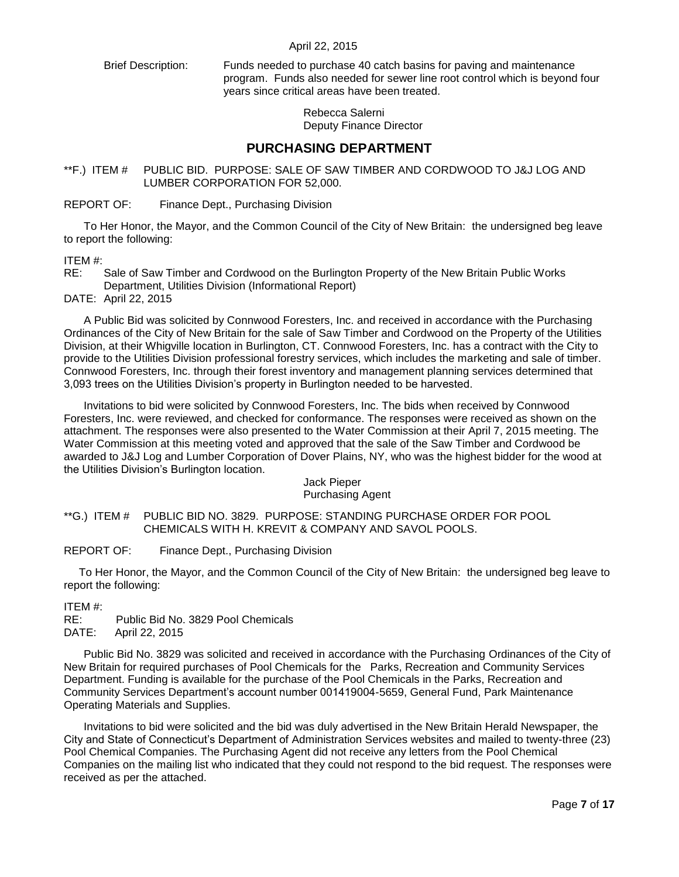Brief Description: Funds needed to purchase 40 catch basins for paving and maintenance program. Funds also needed for sewer line root control which is beyond four years since critical areas have been treated.

> Rebecca Salerni Deputy Finance Director

# **PURCHASING DEPARTMENT**

<span id="page-6-0"></span>\*\*F.) ITEM # PUBLIC BID. PURPOSE: SALE OF SAW TIMBER AND CORDWOOD TO J&J LOG AND LUMBER CORPORATION FOR 52,000.

REPORT OF: Finance Dept., Purchasing Division

To Her Honor, the Mayor, and the Common Council of the City of New Britain: the undersigned beg leave to report the following:

### ITEM #:

RE: Sale of Saw Timber and Cordwood on the Burlington Property of the New Britain Public Works Department, Utilities Division (Informational Report)

DATE: April 22, 2015

A Public Bid was solicited by Connwood Foresters, Inc. and received in accordance with the Purchasing Ordinances of the City of New Britain for the sale of Saw Timber and Cordwood on the Property of the Utilities Division, at their Whigville location in Burlington, CT. Connwood Foresters, Inc. has a contract with the City to provide to the Utilities Division professional forestry services, which includes the marketing and sale of timber. Connwood Foresters, Inc. through their forest inventory and management planning services determined that 3,093 trees on the Utilities Division's property in Burlington needed to be harvested.

Invitations to bid were solicited by Connwood Foresters, Inc. The bids when received by Connwood Foresters, Inc. were reviewed, and checked for conformance. The responses were received as shown on the attachment. The responses were also presented to the Water Commission at their April 7, 2015 meeting. The Water Commission at this meeting voted and approved that the sale of the Saw Timber and Cordwood be awarded to J&J Log and Lumber Corporation of Dover Plains, NY, who was the highest bidder for the wood at the Utilities Division's Burlington location.

#### Jack Pieper Purchasing Agent

<span id="page-6-1"></span>\*\*G.) ITEM # PUBLIC BID NO. 3829. PURPOSE: STANDING PURCHASE ORDER FOR POOL CHEMICALS WITH H. KREVIT & COMPANY AND SAVOL POOLS.

REPORT OF: Finance Dept., Purchasing Division

To Her Honor, the Mayor, and the Common Council of the City of New Britain: the undersigned beg leave to report the following:

ITEM #:

RE: Public Bid No. 3829 Pool Chemicals DATE: April 22, 2015

Public Bid No. 3829 was solicited and received in accordance with the Purchasing Ordinances of the City of New Britain for required purchases of Pool Chemicals for the Parks, Recreation and Community Services Department. Funding is available for the purchase of the Pool Chemicals in the Parks, Recreation and Community Services Department's account number 001419004-5659, General Fund, Park Maintenance Operating Materials and Supplies.

Invitations to bid were solicited and the bid was duly advertised in the New Britain Herald Newspaper, the City and State of Connecticut's Department of Administration Services websites and mailed to twenty-three (23) Pool Chemical Companies. The Purchasing Agent did not receive any letters from the Pool Chemical Companies on the mailing list who indicated that they could not respond to the bid request. The responses were received as per the attached.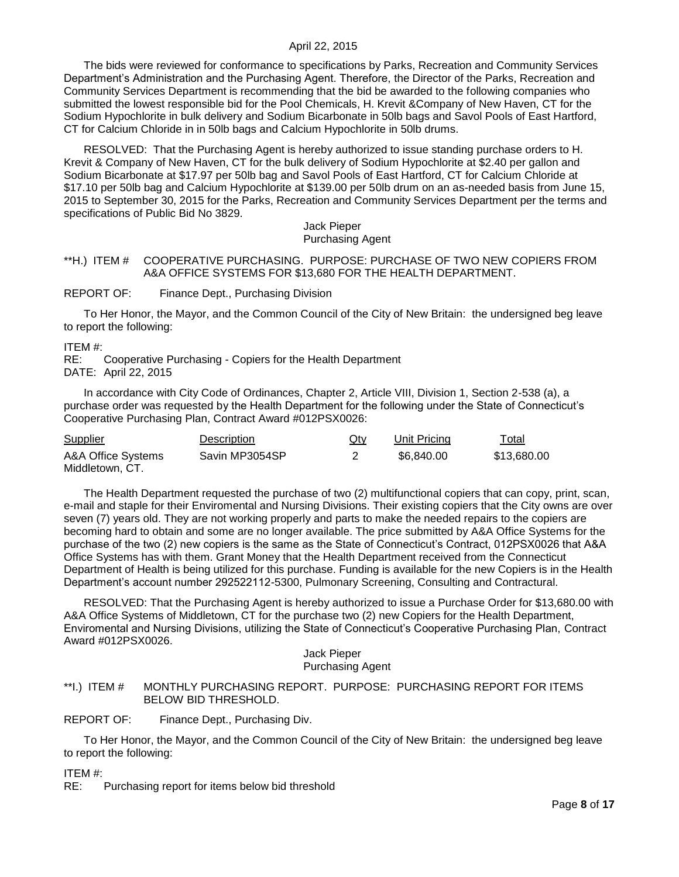The bids were reviewed for conformance to specifications by Parks, Recreation and Community Services Department's Administration and the Purchasing Agent. Therefore, the Director of the Parks, Recreation and Community Services Department is recommending that the bid be awarded to the following companies who submitted the lowest responsible bid for the Pool Chemicals, H. Krevit &Company of New Haven, CT for the Sodium Hypochlorite in bulk delivery and Sodium Bicarbonate in 50lb bags and Savol Pools of East Hartford, CT for Calcium Chloride in in 50lb bags and Calcium Hypochlorite in 50lb drums.

RESOLVED: That the Purchasing Agent is hereby authorized to issue standing purchase orders to H. Krevit & Company of New Haven, CT for the bulk delivery of Sodium Hypochlorite at \$2.40 per gallon and Sodium Bicarbonate at \$17.97 per 50lb bag and Savol Pools of East Hartford, CT for Calcium Chloride at \$17.10 per 50lb bag and Calcium Hypochlorite at \$139.00 per 50lb drum on an as-needed basis from June 15, 2015 to September 30, 2015 for the Parks, Recreation and Community Services Department per the terms and specifications of Public Bid No 3829.

#### Jack Pieper Purchasing Agent

### <span id="page-7-0"></span>\*\*H.) ITEM # COOPERATIVE PURCHASING. PURPOSE: PURCHASE OF TWO NEW COPIERS FROM A&A OFFICE SYSTEMS FOR \$13,680 FOR THE HEALTH DEPARTMENT.

### REPORT OF: Finance Dept., Purchasing Division

To Her Honor, the Mayor, and the Common Council of the City of New Britain: the undersigned beg leave to report the following:

#### ITEM #:

RE: Cooperative Purchasing - Copiers for the Health Department DATE: April 22, 2015

In accordance with City Code of Ordinances, Chapter 2, Article VIII, Division 1, Section 2-538 (a), a purchase order was requested by the Health Department for the following under the State of Connecticut's Cooperative Purchasing Plan, Contract Award #012PSX0026:

| \$13.680.00<br>\$6.840.00 |
|---------------------------|
|                           |

The Health Department requested the purchase of two (2) multifunctional copiers that can copy, print, scan, e-mail and staple for their Enviromental and Nursing Divisions. Their existing copiers that the City owns are over seven (7) years old. They are not working properly and parts to make the needed repairs to the copiers are becoming hard to obtain and some are no longer available. The price submitted by A&A Office Systems for the purchase of the two (2) new copiers is the same as the State of Connecticut's Contract, 012PSX0026 that A&A Office Systems has with them. Grant Money that the Health Department received from the Connecticut Department of Health is being utilized for this purchase. Funding is available for the new Copiers is in the Health Department's account number 292522112-5300, Pulmonary Screening, Consulting and Contractural.

RESOLVED: That the Purchasing Agent is hereby authorized to issue a Purchase Order for \$13,680.00 with A&A Office Systems of Middletown, CT for the purchase two (2) new Copiers for the Health Department, Enviromental and Nursing Divisions, utilizing the State of Connecticut's Cooperative Purchasing Plan, Contract Award #012PSX0026.

#### Jack Pieper Purchasing Agent

### <span id="page-7-1"></span>\*\*I.) ITEM # MONTHLY PURCHASING REPORT. PURPOSE: PURCHASING REPORT FOR ITEMS BELOW BID THRESHOLD.

#### REPORT OF: Finance Dept., Purchasing Div.

To Her Honor, the Mayor, and the Common Council of the City of New Britain: the undersigned beg leave to report the following:

ITEM #:

RE: Purchasing report for items below bid threshold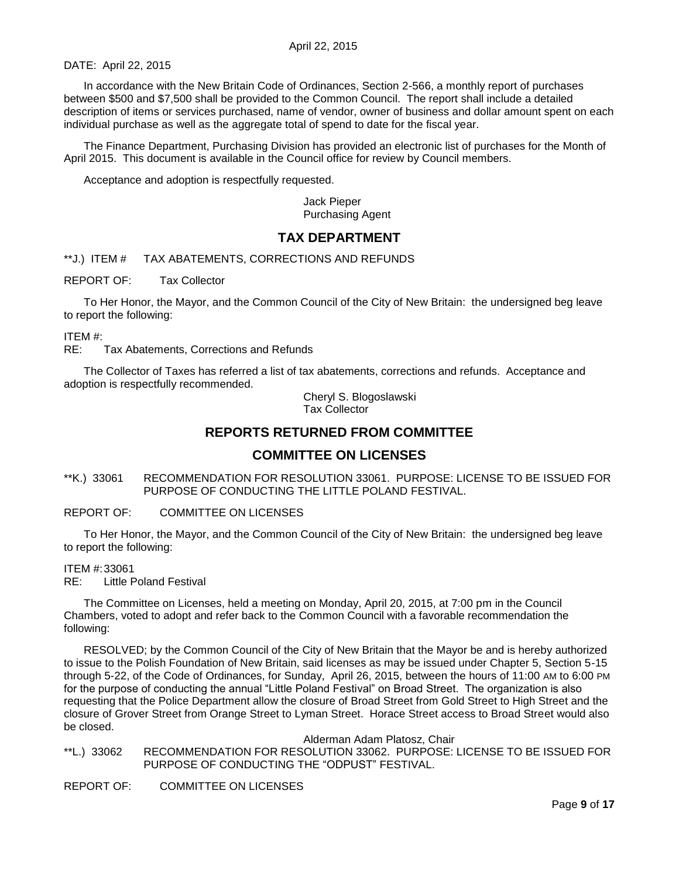DATE: April 22, 2015

In accordance with the New Britain Code of Ordinances, Section 2-566, a monthly report of purchases between \$500 and \$7,500 shall be provided to the Common Council. The report shall include a detailed description of items or services purchased, name of vendor, owner of business and dollar amount spent on each individual purchase as well as the aggregate total of spend to date for the fiscal year.

The Finance Department, Purchasing Division has provided an electronic list of purchases for the Month of April 2015. This document is available in the Council office for review by Council members.

Acceptance and adoption is respectfully requested.

Jack Pieper Purchasing Agent

# **TAX DEPARTMENT**

<span id="page-8-0"></span>\*\*J.) ITEM # TAX ABATEMENTS, CORRECTIONS AND REFUNDS

REPORT OF: Tax Collector

To Her Honor, the Mayor, and the Common Council of the City of New Britain: the undersigned beg leave to report the following:

ITEM #:

RE: Tax Abatements, Corrections and Refunds

The Collector of Taxes has referred a list of tax abatements, corrections and refunds. Acceptance and adoption is respectfully recommended.

> Cheryl S. Blogoslawski Tax Collector

# **REPORTS RETURNED FROM COMMITTEE**

## **COMMITTEE ON LICENSES**

<span id="page-8-1"></span>\*\*K.) 33061 RECOMMENDATION FOR RESOLUTION 33061. PURPOSE: LICENSE TO BE ISSUED FOR PURPOSE OF CONDUCTING THE LITTLE POLAND FESTIVAL.

### REPORT OF: COMMITTEE ON LICENSES

To Her Honor, the Mayor, and the Common Council of the City of New Britain: the undersigned beg leave to report the following:

ITEM #:33061

RE: Little Poland Festival

The Committee on Licenses, held a meeting on Monday, April 20, 2015, at 7:00 pm in the Council Chambers, voted to adopt and refer back to the Common Council with a favorable recommendation the following:

RESOLVED; by the Common Council of the City of New Britain that the Mayor be and is hereby authorized to issue to the Polish Foundation of New Britain, said licenses as may be issued under Chapter 5, Section 5-15 through 5-22, of the Code of Ordinances, for Sunday, April 26, 2015, between the hours of 11:00 AM to 6:00 PM for the purpose of conducting the annual "Little Poland Festival" on Broad Street. The organization is also requesting that the Police Department allow the closure of Broad Street from Gold Street to High Street and the closure of Grover Street from Orange Street to Lyman Street. Horace Street access to Broad Street would also be closed.

Alderman Adam Platosz, Chair

<span id="page-8-2"></span>\*\*L.) 33062 RECOMMENDATION FOR RESOLUTION 33062. PURPOSE: LICENSE TO BE ISSUED FOR PURPOSE OF CONDUCTING THE "ODPUST" FESTIVAL.

REPORT OF: COMMITTEE ON LICENSES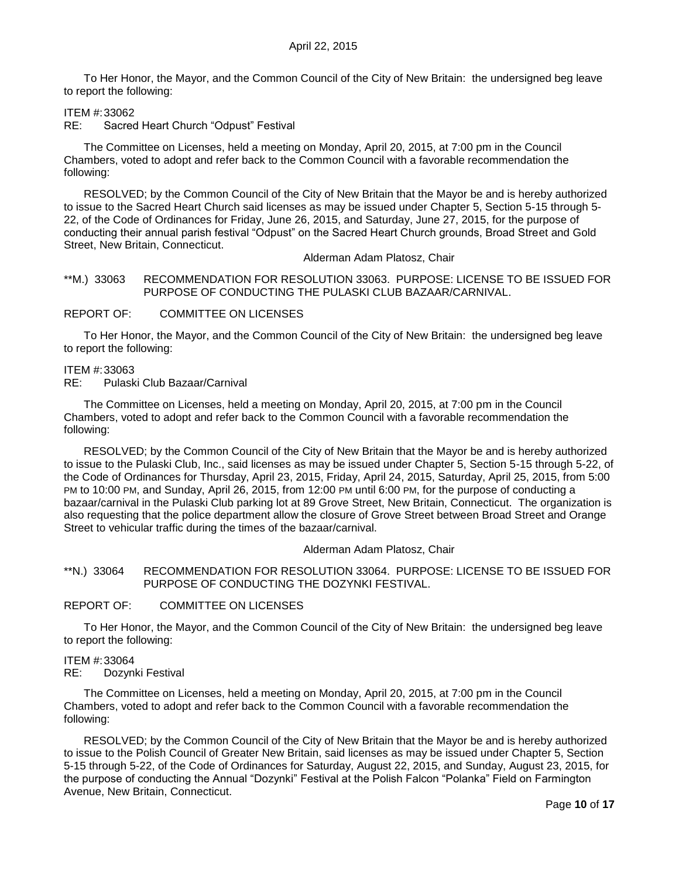To Her Honor, the Mayor, and the Common Council of the City of New Britain: the undersigned beg leave to report the following:

#### ITEM #:33062

RE: Sacred Heart Church "Odpust" Festival

The Committee on Licenses, held a meeting on Monday, April 20, 2015, at 7:00 pm in the Council Chambers, voted to adopt and refer back to the Common Council with a favorable recommendation the following:

RESOLVED; by the Common Council of the City of New Britain that the Mayor be and is hereby authorized to issue to the Sacred Heart Church said licenses as may be issued under Chapter 5, Section 5-15 through 5- 22, of the Code of Ordinances for Friday, June 26, 2015, and Saturday, June 27, 2015, for the purpose of conducting their annual parish festival "Odpust" on the Sacred Heart Church grounds, Broad Street and Gold Street, New Britain, Connecticut.

Alderman Adam Platosz, Chair

<span id="page-9-0"></span>\*\*M.) 33063 RECOMMENDATION FOR RESOLUTION 33063. PURPOSE: LICENSE TO BE ISSUED FOR PURPOSE OF CONDUCTING THE PULASKI CLUB BAZAAR/CARNIVAL.

REPORT OF: COMMITTEE ON LICENSES

To Her Honor, the Mayor, and the Common Council of the City of New Britain: the undersigned beg leave to report the following:

### ITEM #:33063

RE: Pulaski Club Bazaar/Carnival

The Committee on Licenses, held a meeting on Monday, April 20, 2015, at 7:00 pm in the Council Chambers, voted to adopt and refer back to the Common Council with a favorable recommendation the following:

RESOLVED; by the Common Council of the City of New Britain that the Mayor be and is hereby authorized to issue to the Pulaski Club, Inc., said licenses as may be issued under Chapter 5, Section 5-15 through 5-22, of the Code of Ordinances for Thursday, April 23, 2015, Friday, April 24, 2015, Saturday, April 25, 2015, from 5:00 PM to 10:00 PM, and Sunday, April 26, 2015, from 12:00 PM until 6:00 PM, for the purpose of conducting a bazaar/carnival in the Pulaski Club parking lot at 89 Grove Street, New Britain, Connecticut. The organization is also requesting that the police department allow the closure of Grove Street between Broad Street and Orange Street to vehicular traffic during the times of the bazaar/carnival.

#### Alderman Adam Platosz, Chair

<span id="page-9-1"></span>\*\*N.) 33064 RECOMMENDATION FOR RESOLUTION 33064. PURPOSE: LICENSE TO BE ISSUED FOR PURPOSE OF CONDUCTING THE DOZYNKI FESTIVAL.

### REPORT OF: COMMITTEE ON LICENSES

To Her Honor, the Mayor, and the Common Council of the City of New Britain: the undersigned beg leave to report the following:

#### ITEM #:33064

RE: Dozynki Festival

The Committee on Licenses, held a meeting on Monday, April 20, 2015, at 7:00 pm in the Council Chambers, voted to adopt and refer back to the Common Council with a favorable recommendation the following:

RESOLVED; by the Common Council of the City of New Britain that the Mayor be and is hereby authorized to issue to the Polish Council of Greater New Britain, said licenses as may be issued under Chapter 5, Section 5-15 through 5-22, of the Code of Ordinances for Saturday, August 22, 2015, and Sunday, August 23, 2015, for the purpose of conducting the Annual "Dozynki" Festival at the Polish Falcon "Polanka" Field on Farmington Avenue, New Britain, Connecticut.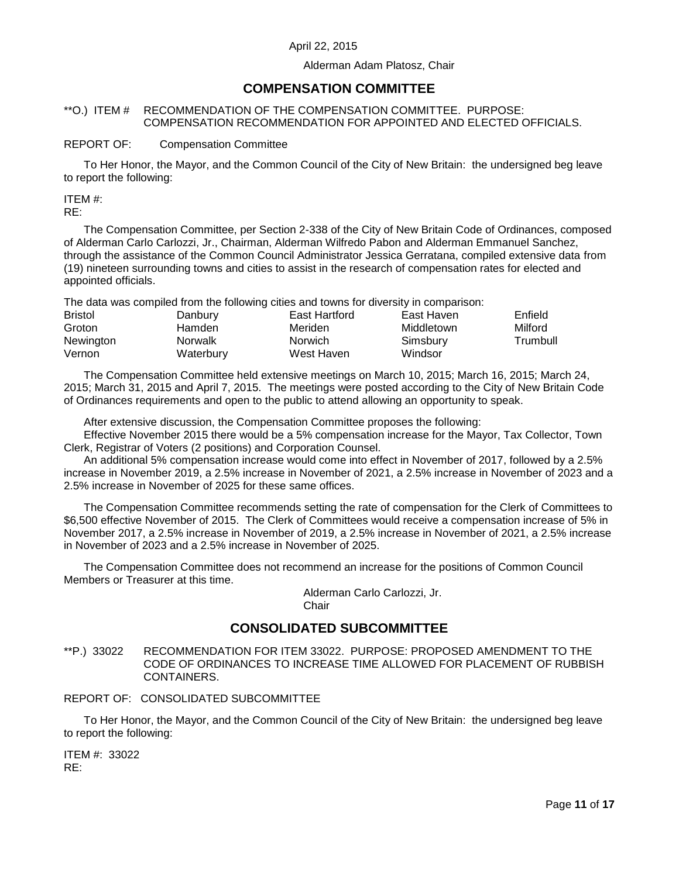### Alderman Adam Platosz, Chair

# **COMPENSATION COMMITTEE**

### <span id="page-10-0"></span>\*\*O.) ITEM # RECOMMENDATION OF THE COMPENSATION COMMITTEE. PURPOSE: COMPENSATION RECOMMENDATION FOR APPOINTED AND ELECTED OFFICIALS.

### REPORT OF: Compensation Committee

To Her Honor, the Mayor, and the Common Council of the City of New Britain: the undersigned beg leave to report the following:

ITEM #:

RE:

The Compensation Committee, per Section 2-338 of the City of New Britain Code of Ordinances, composed of Alderman Carlo Carlozzi, Jr., Chairman, Alderman Wilfredo Pabon and Alderman Emmanuel Sanchez, through the assistance of the Common Council Administrator Jessica Gerratana, compiled extensive data from (19) nineteen surrounding towns and cities to assist in the research of compensation rates for elected and appointed officials.

The data was compiled from the following cities and towns for diversity in comparison:

| <b>Bristol</b> | Danbury        | East Hartford | East Haven | Enfield  |
|----------------|----------------|---------------|------------|----------|
| Groton         | Hamden         | Meriden       | Middletown | Milford  |
| Newington      | <b>Norwalk</b> | Norwich       | Simsbury   | Trumbull |
| Vernon         | Waterbury      | West Haven    | Windsor    |          |

The Compensation Committee held extensive meetings on March 10, 2015; March 16, 2015; March 24, 2015; March 31, 2015 and April 7, 2015. The meetings were posted according to the City of New Britain Code of Ordinances requirements and open to the public to attend allowing an opportunity to speak.

After extensive discussion, the Compensation Committee proposes the following:

Effective November 2015 there would be a 5% compensation increase for the Mayor, Tax Collector, Town Clerk, Registrar of Voters (2 positions) and Corporation Counsel.

An additional 5% compensation increase would come into effect in November of 2017, followed by a 2.5% increase in November 2019, a 2.5% increase in November of 2021, a 2.5% increase in November of 2023 and a 2.5% increase in November of 2025 for these same offices.

The Compensation Committee recommends setting the rate of compensation for the Clerk of Committees to \$6,500 effective November of 2015. The Clerk of Committees would receive a compensation increase of 5% in November 2017, a 2.5% increase in November of 2019, a 2.5% increase in November of 2021, a 2.5% increase in November of 2023 and a 2.5% increase in November of 2025.

The Compensation Committee does not recommend an increase for the positions of Common Council Members or Treasurer at this time.

> Alderman Carlo Carlozzi, Jr. **Chair**

# **CONSOLIDATED SUBCOMMITTEE**

<span id="page-10-1"></span>\*\*P.) 33022 RECOMMENDATION FOR ITEM 33022. PURPOSE: PROPOSED AMENDMENT TO THE CODE OF ORDINANCES TO INCREASE TIME ALLOWED FOR PLACEMENT OF RUBBISH CONTAINERS.

### REPORT OF: CONSOLIDATED SUBCOMMITTEE

To Her Honor, the Mayor, and the Common Council of the City of New Britain: the undersigned beg leave to report the following:

ITEM #: 33022 RE: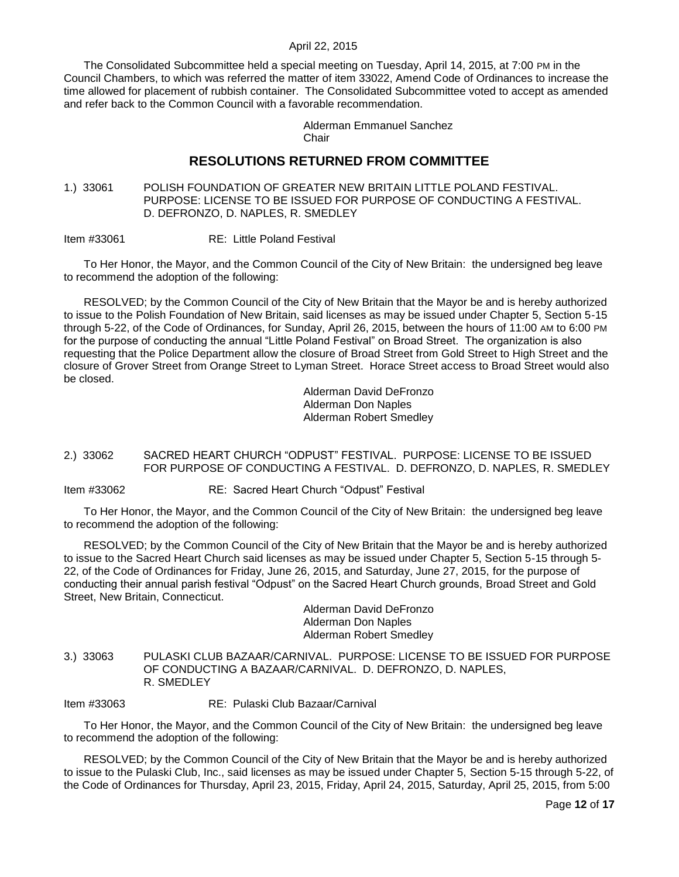The Consolidated Subcommittee held a special meeting on Tuesday, April 14, 2015, at 7:00 PM in the Council Chambers, to which was referred the matter of item 33022, Amend Code of Ordinances to increase the time allowed for placement of rubbish container. The Consolidated Subcommittee voted to accept as amended and refer back to the Common Council with a favorable recommendation.

> Alderman Emmanuel Sanchez **Chair**

# **RESOLUTIONS RETURNED FROM COMMITTEE**

<span id="page-11-0"></span>1.) 33061 POLISH FOUNDATION OF GREATER NEW BRITAIN LITTLE POLAND FESTIVAL. PURPOSE: LICENSE TO BE ISSUED FOR PURPOSE OF CONDUCTING A FESTIVAL. D. DEFRONZO, D. NAPLES, R. SMEDLEY

Item #33061 RE: Little Poland Festival

To Her Honor, the Mayor, and the Common Council of the City of New Britain: the undersigned beg leave to recommend the adoption of the following:

RESOLVED; by the Common Council of the City of New Britain that the Mayor be and is hereby authorized to issue to the Polish Foundation of New Britain, said licenses as may be issued under Chapter 5, Section 5-15 through 5-22, of the Code of Ordinances, for Sunday, April 26, 2015, between the hours of 11:00 AM to 6:00 PM for the purpose of conducting the annual "Little Poland Festival" on Broad Street. The organization is also requesting that the Police Department allow the closure of Broad Street from Gold Street to High Street and the closure of Grover Street from Orange Street to Lyman Street. Horace Street access to Broad Street would also be closed.

> Alderman David DeFronzo Alderman Don Naples Alderman Robert Smedley

### <span id="page-11-1"></span>2.) 33062 SACRED HEART CHURCH "ODPUST" FESTIVAL. PURPOSE: LICENSE TO BE ISSUED FOR PURPOSE OF CONDUCTING A FESTIVAL. D. DEFRONZO, D. NAPLES, R. SMEDLEY

Item #33062 RE: Sacred Heart Church "Odpust" Festival

To Her Honor, the Mayor, and the Common Council of the City of New Britain: the undersigned beg leave to recommend the adoption of the following:

RESOLVED; by the Common Council of the City of New Britain that the Mayor be and is hereby authorized to issue to the Sacred Heart Church said licenses as may be issued under Chapter 5, Section 5-15 through 5- 22, of the Code of Ordinances for Friday, June 26, 2015, and Saturday, June 27, 2015, for the purpose of conducting their annual parish festival "Odpust" on the Sacred Heart Church grounds, Broad Street and Gold Street, New Britain, Connecticut.

Alderman David DeFronzo Alderman Don Naples Alderman Robert Smedley

<span id="page-11-2"></span>3.) 33063 PULASKI CLUB BAZAAR/CARNIVAL. PURPOSE: LICENSE TO BE ISSUED FOR PURPOSE OF CONDUCTING A BAZAAR/CARNIVAL. D. DEFRONZO, D. NAPLES, R. SMEDLEY

Item #33063 RE: Pulaski Club Bazaar/Carnival

To Her Honor, the Mayor, and the Common Council of the City of New Britain: the undersigned beg leave to recommend the adoption of the following:

RESOLVED; by the Common Council of the City of New Britain that the Mayor be and is hereby authorized to issue to the Pulaski Club, Inc., said licenses as may be issued under Chapter 5, Section 5-15 through 5-22, of the Code of Ordinances for Thursday, April 23, 2015, Friday, April 24, 2015, Saturday, April 25, 2015, from 5:00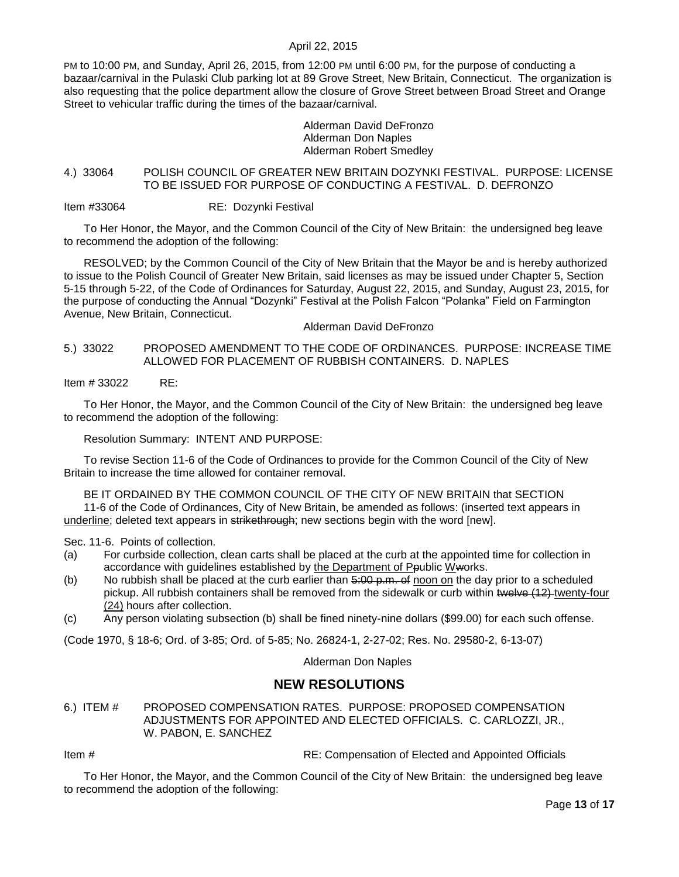PM to 10:00 PM, and Sunday, April 26, 2015, from 12:00 PM until 6:00 PM, for the purpose of conducting a bazaar/carnival in the Pulaski Club parking lot at 89 Grove Street, New Britain, Connecticut. The organization is also requesting that the police department allow the closure of Grove Street between Broad Street and Orange Street to vehicular traffic during the times of the bazaar/carnival.

> Alderman David DeFronzo Alderman Don Naples Alderman Robert Smedley

### <span id="page-12-0"></span>4.) 33064 POLISH COUNCIL OF GREATER NEW BRITAIN DOZYNKI FESTIVAL. PURPOSE: LICENSE TO BE ISSUED FOR PURPOSE OF CONDUCTING A FESTIVAL. D. DEFRONZO

Item #33064 RE: Dozynki Festival

To Her Honor, the Mayor, and the Common Council of the City of New Britain: the undersigned beg leave to recommend the adoption of the following:

RESOLVED; by the Common Council of the City of New Britain that the Mayor be and is hereby authorized to issue to the Polish Council of Greater New Britain, said licenses as may be issued under Chapter 5, Section 5-15 through 5-22, of the Code of Ordinances for Saturday, August 22, 2015, and Sunday, August 23, 2015, for the purpose of conducting the Annual "Dozynki" Festival at the Polish Falcon "Polanka" Field on Farmington Avenue, New Britain, Connecticut.

Alderman David DeFronzo

### <span id="page-12-1"></span>5.) 33022 PROPOSED AMENDMENT TO THE CODE OF ORDINANCES. PURPOSE: INCREASE TIME ALLOWED FOR PLACEMENT OF RUBBISH CONTAINERS. D. NAPLES

Item # 33022 RE:

To Her Honor, the Mayor, and the Common Council of the City of New Britain: the undersigned beg leave to recommend the adoption of the following:

Resolution Summary: INTENT AND PURPOSE:

To revise Section 11-6 of the Code of Ordinances to provide for the Common Council of the City of New Britain to increase the time allowed for container removal.

BE IT ORDAINED BY THE COMMON COUNCIL OF THE CITY OF NEW BRITAIN that SECTION 11-6 of the Code of Ordinances, City of New Britain, be amended as follows: (inserted text appears in underline; deleted text appears in strikethrough; new sections begin with the word [new].

Sec. 11-6. Points of collection.

- (a) For curbside collection, clean carts shall be placed at the curb at the appointed time for collection in accordance with guidelines established by the Department of Ppublic Wworks.
- (b) No rubbish shall be placed at the curb earlier than  $\frac{5:00 \text{ p.m. of}}{1000 \text{ p.m. of}}$  hoon on the day prior to a scheduled pickup. All rubbish containers shall be removed from the sidewalk or curb within twelve (12) twenty-four (24) hours after collection.
- (c) Any person violating subsection (b) shall be fined ninety-nine dollars (\$99.00) for each such offense.

(Code 1970, § 18-6; Ord. of 3-85; Ord. of 5-85; No. 26824-1, 2-27-02; Res. No. 29580-2, 6-13-07)

Alderman Don Naples

## **NEW RESOLUTIONS**

<span id="page-12-2"></span>6.) ITEM # PROPOSED COMPENSATION RATES. PURPOSE: PROPOSED COMPENSATION ADJUSTMENTS FOR APPOINTED AND ELECTED OFFICIALS. C. CARLOZZI, JR., W. PABON, E. SANCHEZ

Item # RE: Compensation of Elected and Appointed Officials

To Her Honor, the Mayor, and the Common Council of the City of New Britain: the undersigned beg leave to recommend the adoption of the following: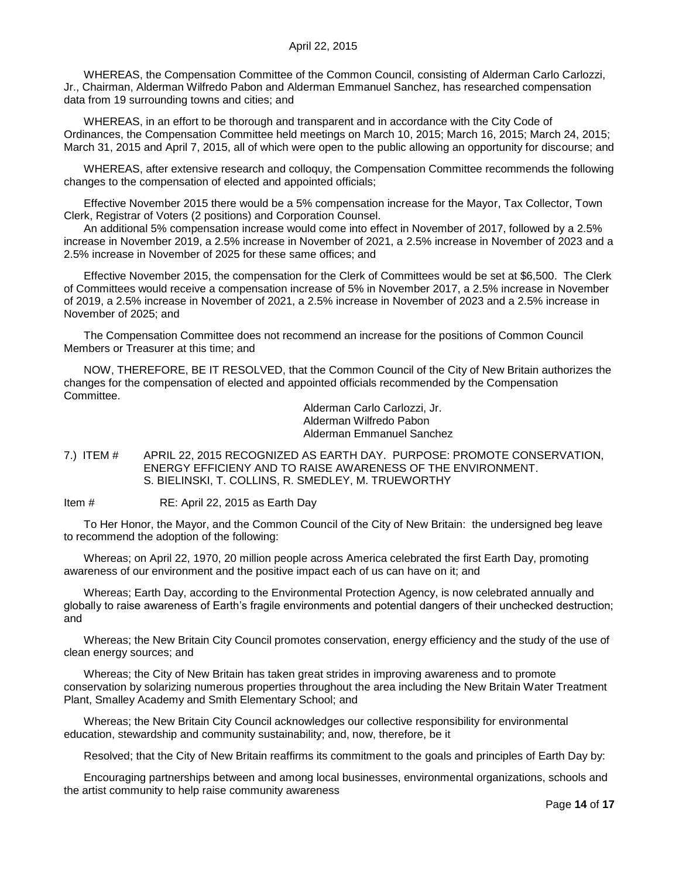WHEREAS, the Compensation Committee of the Common Council, consisting of Alderman Carlo Carlozzi, Jr., Chairman, Alderman Wilfredo Pabon and Alderman Emmanuel Sanchez, has researched compensation data from 19 surrounding towns and cities; and

WHEREAS, in an effort to be thorough and transparent and in accordance with the City Code of Ordinances, the Compensation Committee held meetings on March 10, 2015; March 16, 2015; March 24, 2015; March 31, 2015 and April 7, 2015, all of which were open to the public allowing an opportunity for discourse; and

WHEREAS, after extensive research and colloquy, the Compensation Committee recommends the following changes to the compensation of elected and appointed officials;

Effective November 2015 there would be a 5% compensation increase for the Mayor, Tax Collector, Town Clerk, Registrar of Voters (2 positions) and Corporation Counsel.

An additional 5% compensation increase would come into effect in November of 2017, followed by a 2.5% increase in November 2019, a 2.5% increase in November of 2021, a 2.5% increase in November of 2023 and a 2.5% increase in November of 2025 for these same offices; and

Effective November 2015, the compensation for the Clerk of Committees would be set at \$6,500. The Clerk of Committees would receive a compensation increase of 5% in November 2017, a 2.5% increase in November of 2019, a 2.5% increase in November of 2021, a 2.5% increase in November of 2023 and a 2.5% increase in November of 2025; and

The Compensation Committee does not recommend an increase for the positions of Common Council Members or Treasurer at this time; and

NOW, THEREFORE, BE IT RESOLVED, that the Common Council of the City of New Britain authorizes the changes for the compensation of elected and appointed officials recommended by the Compensation Committee.

Alderman Carlo Carlozzi, Jr. Alderman Wilfredo Pabon Alderman Emmanuel Sanchez

<span id="page-13-0"></span>7.) ITEM # APRIL 22, 2015 RECOGNIZED AS EARTH DAY. PURPOSE: PROMOTE CONSERVATION, ENERGY EFFICIENY AND TO RAISE AWARENESS OF THE ENVIRONMENT. S. BIELINSKI, T. COLLINS, R. SMEDLEY, M. TRUEWORTHY

Item # RE: April 22, 2015 as Earth Day

To Her Honor, the Mayor, and the Common Council of the City of New Britain: the undersigned beg leave to recommend the adoption of the following:

Whereas; on April 22, 1970, 20 million people across America celebrated the first Earth Day, promoting awareness of our environment and the positive impact each of us can have on it; and

Whereas; Earth Day, according to the Environmental Protection Agency, is now celebrated annually and globally to raise awareness of Earth's fragile environments and potential dangers of their unchecked destruction; and

Whereas; the New Britain City Council promotes conservation, energy efficiency and the study of the use of clean energy sources; and

Whereas; the City of New Britain has taken great strides in improving awareness and to promote conservation by solarizing numerous properties throughout the area including the New Britain Water Treatment Plant, Smalley Academy and Smith Elementary School; and

Whereas; the New Britain City Council acknowledges our collective responsibility for environmental education, stewardship and community sustainability; and, now, therefore, be it

Resolved; that the City of New Britain reaffirms its commitment to the goals and principles of Earth Day by:

Encouraging partnerships between and among local businesses, environmental organizations, schools and the artist community to help raise community awareness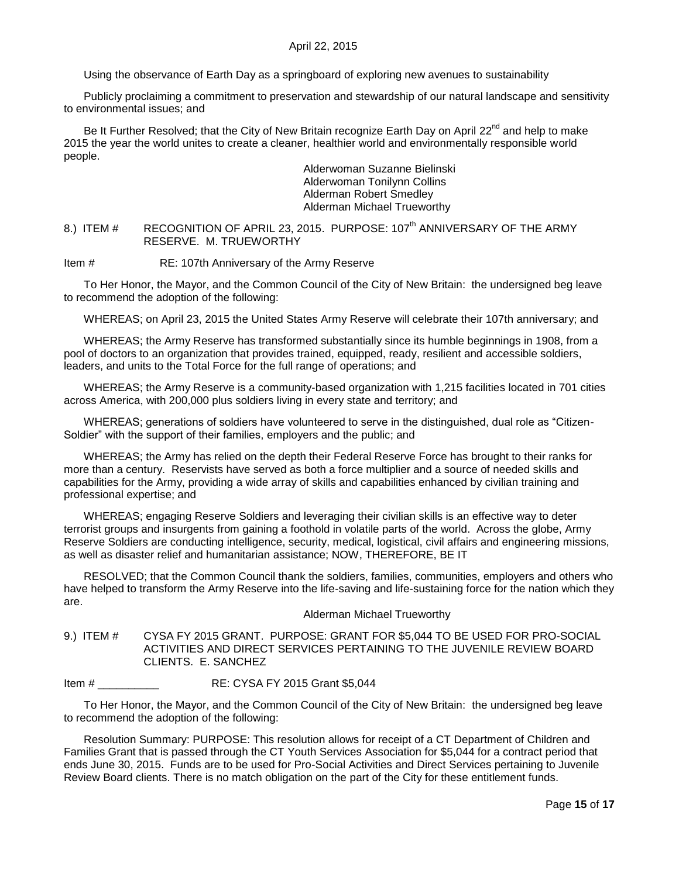Using the observance of Earth Day as a springboard of exploring new avenues to sustainability

Publicly proclaiming a commitment to preservation and stewardship of our natural landscape and sensitivity to environmental issues; and

Be It Further Resolved; that the City of New Britain recognize Earth Day on April 22<sup>nd</sup> and help to make 2015 the year the world unites to create a cleaner, healthier world and environmentally responsible world people.

> Alderwoman Suzanne Bielinski Alderwoman Tonilynn Collins Alderman Robert Smedley Alderman Michael Trueworthy

<span id="page-14-0"></span>8.) ITEM # RECOGNITION OF APRIL 23, 2015. PURPOSE: 107<sup>th</sup> ANNIVERSARY OF THE ARMY RESERVE. M. TRUEWORTHY

Item # RE: 107th Anniversary of the Army Reserve

To Her Honor, the Mayor, and the Common Council of the City of New Britain: the undersigned beg leave to recommend the adoption of the following:

WHEREAS; on April 23, 2015 the United States Army Reserve will celebrate their 107th anniversary; and

WHEREAS; the Army Reserve has transformed substantially since its humble beginnings in 1908, from a pool of doctors to an organization that provides trained, equipped, ready, resilient and accessible soldiers, leaders, and units to the Total Force for the full range of operations; and

WHEREAS; the Army Reserve is a community-based organization with 1,215 facilities located in 701 cities across America, with 200,000 plus soldiers living in every state and territory; and

WHEREAS; generations of soldiers have volunteered to serve in the distinguished, dual role as "Citizen-Soldier" with the support of their families, employers and the public; and

WHEREAS; the Army has relied on the depth their Federal Reserve Force has brought to their ranks for more than a century. Reservists have served as both a force multiplier and a source of needed skills and capabilities for the Army, providing a wide array of skills and capabilities enhanced by civilian training and professional expertise; and

WHEREAS; engaging Reserve Soldiers and leveraging their civilian skills is an effective way to deter terrorist groups and insurgents from gaining a foothold in volatile parts of the world. Across the globe, Army Reserve Soldiers are conducting intelligence, security, medical, logistical, civil affairs and engineering missions, as well as disaster relief and humanitarian assistance; NOW, THEREFORE, BE IT

RESOLVED; that the Common Council thank the soldiers, families, communities, employers and others who have helped to transform the Army Reserve into the life-saving and life-sustaining force for the nation which they are.

Alderman Michael Trueworthy

<span id="page-14-1"></span>9.) ITEM # CYSA FY 2015 GRANT. PURPOSE: GRANT FOR \$5,044 TO BE USED FOR PRO-SOCIAL ACTIVITIES AND DIRECT SERVICES PERTAINING TO THE JUVENILE REVIEW BOARD CLIENTS. E. SANCHEZ

Item # \_\_\_\_\_\_\_\_\_\_ RE: CYSA FY 2015 Grant \$5,044

To Her Honor, the Mayor, and the Common Council of the City of New Britain: the undersigned beg leave to recommend the adoption of the following:

Resolution Summary: PURPOSE: This resolution allows for receipt of a CT Department of Children and Families Grant that is passed through the CT Youth Services Association for \$5,044 for a contract period that ends June 30, 2015. Funds are to be used for Pro-Social Activities and Direct Services pertaining to Juvenile Review Board clients. There is no match obligation on the part of the City for these entitlement funds.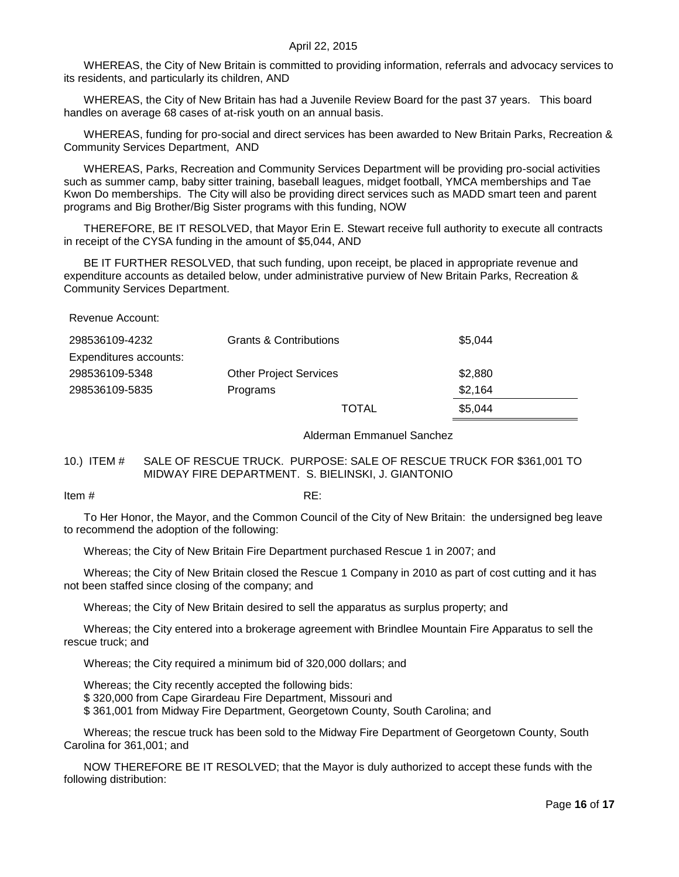WHEREAS, the City of New Britain is committed to providing information, referrals and advocacy services to its residents, and particularly its children, AND

WHEREAS, the City of New Britain has had a Juvenile Review Board for the past 37 years. This board handles on average 68 cases of at-risk youth on an annual basis.

WHEREAS, funding for pro-social and direct services has been awarded to New Britain Parks, Recreation & Community Services Department, AND

WHEREAS, Parks, Recreation and Community Services Department will be providing pro-social activities such as summer camp, baby sitter training, baseball leagues, midget football, YMCA memberships and Tae Kwon Do memberships. The City will also be providing direct services such as MADD smart teen and parent programs and Big Brother/Big Sister programs with this funding, NOW

THEREFORE, BE IT RESOLVED, that Mayor Erin E. Stewart receive full authority to execute all contracts in receipt of the CYSA funding in the amount of \$5,044, AND

BE IT FURTHER RESOLVED, that such funding, upon receipt, be placed in appropriate revenue and expenditure accounts as detailed below, under administrative purview of New Britain Parks, Recreation & Community Services Department.

Revenue Account:

| 298536109-4232         | <b>Grants &amp; Contributions</b> |              | \$5.044 |
|------------------------|-----------------------------------|--------------|---------|
| Expenditures accounts: |                                   |              |         |
| 298536109-5348         | <b>Other Project Services</b>     |              | \$2,880 |
| 298536109-5835         | Programs                          |              | \$2.164 |
|                        |                                   | <b>TOTAL</b> | \$5.044 |

Alderman Emmanuel Sanchez

### <span id="page-15-0"></span>10.) ITEM # SALE OF RESCUE TRUCK. PURPOSE: SALE OF RESCUE TRUCK FOR \$361,001 TO MIDWAY FIRE DEPARTMENT. S. BIELINSKI, J. GIANTONIO

Item  $\#$  RE:

To Her Honor, the Mayor, and the Common Council of the City of New Britain: the undersigned beg leave to recommend the adoption of the following:

Whereas; the City of New Britain Fire Department purchased Rescue 1 in 2007; and

Whereas; the City of New Britain closed the Rescue 1 Company in 2010 as part of cost cutting and it has not been staffed since closing of the company; and

Whereas; the City of New Britain desired to sell the apparatus as surplus property; and

Whereas; the City entered into a brokerage agreement with Brindlee Mountain Fire Apparatus to sell the rescue truck; and

Whereas; the City required a minimum bid of 320,000 dollars; and

Whereas; the City recently accepted the following bids:

\$ 320,000 from Cape Girardeau Fire Department, Missouri and

\$ 361,001 from Midway Fire Department, Georgetown County, South Carolina; and

Whereas; the rescue truck has been sold to the Midway Fire Department of Georgetown County, South Carolina for 361,001; and

NOW THEREFORE BE IT RESOLVED; that the Mayor is duly authorized to accept these funds with the following distribution: